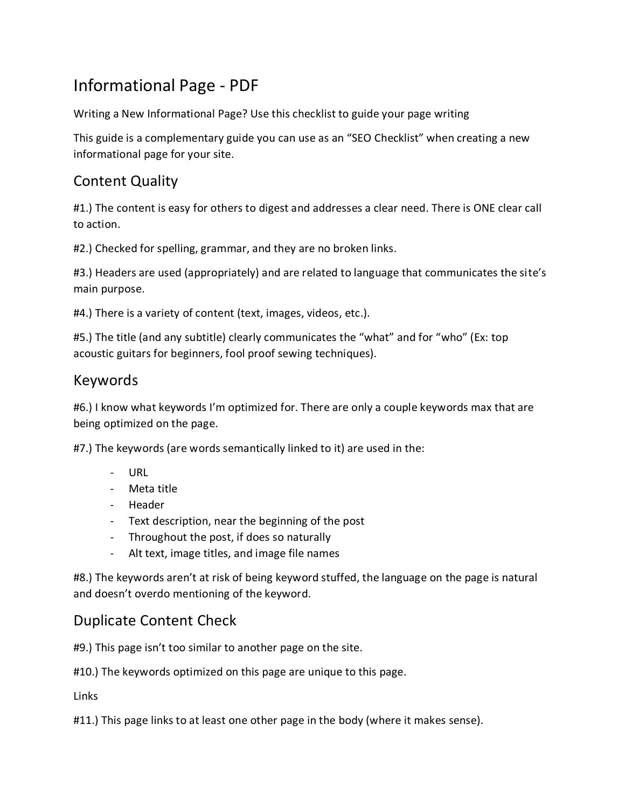# Informational Page - PDF

Writing a New Informational Page? Use this checklist to guide your page writing

This guide is a complementary guide you can use as an "SEO Checklist" when creating a new informational page for your site.

### Content Quality

#1.) The content is easy for others to digest and addresses a clear need. There is ONE clear call to action.

#2.) Checked for spelling, grammar, and they are no broken links.

#3.) Headers are used (appropriately) and are related to language that communicates the site's main purpose.

#4.) There is a variety of content (text, images, videos, etc.).

#5.) The title (and any subtitle) clearly communicates the "what" and for "who" (Ex: top acoustic guitars for beginners, fool proof sewing techniques).

#### Keywords

#6.) I know what keywords I'm optimized for. There are only a couple keywords max that are being optimized on the page.

#7.) The keywords (are words semantically linked to it) are used in the:

- URL
- Meta title
- Header
- Text description, near the beginning of the post
- Throughout the post, if does so naturally
- Alt text, image titles, and image file names

#8.) The keywords aren't at risk of being keyword stuffed, the language on the page is natural and doesn't overdo mentioning of the keyword.

#### Duplicate Content Check

#9.) This page isn't too similar to another page on the site.

#10.) The keywords optimized on this page are unique to this page.

Links

#11.) This page links to at least one other page in the body (where it makes sense).